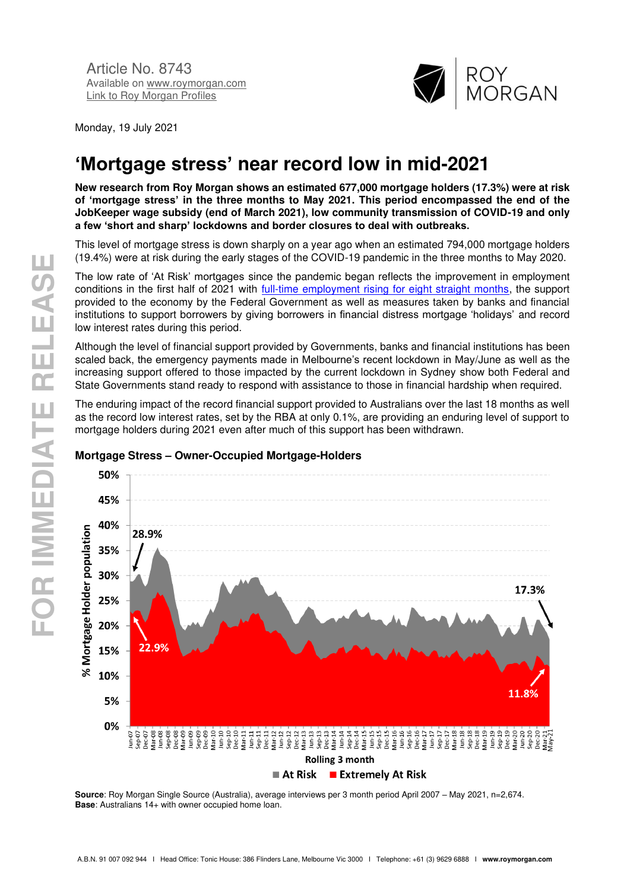

Monday, 19 July 2021

# **'Mortgage stress' near record low in mid-2021**

**New research from Roy Morgan shows an estimated 677,000 mortgage holders (17.3%) were at risk of 'mortgage stress' in the three months to May 2021. This period encompassed the end of the JobKeeper wage subsidy (end of March 2021), low community transmission of COVID-19 and only a few 'short and sharp' lockdowns and border closures to deal with outbreaks.**

This level of mortgage stress is down sharply on a year ago when an estimated 794,000 mortgage holders (19.4%) were at risk during the early stages of the COVID-19 pandemic in the three months to May 2020.

The low rate of 'At Risk' mortgages since the pandemic began reflects the improvement in employment conditions in the first half of 2021 with [full-time employment rising for eight straight months,](https://www.roymorgan.com/findings/8742-australian-unemployment-estimates-june-2021-202107041952) the support provided to the economy by the Federal Government as well as measures taken by banks and financial institutions to support borrowers by giving borrowers in financial distress mortgage 'holidays' and record low interest rates during this period.

Although the level of financial support provided by Governments, banks and financial institutions has been scaled back, the emergency payments made in Melbourne's recent lockdown in May/June as well as the increasing support offered to those impacted by the current lockdown in Sydney show both Federal and State Governments stand ready to respond with assistance to those in financial hardship when required.

The enduring impact of the record financial support provided to Australians over the last 18 months as well as the record low interest rates, set by the RBA at only 0.1%, are providing an enduring level of support to mortgage holders during 2021 even after much of this support has been withdrawn.



### **Mortgage Stress – Owner-Occupied Mortgage-Holders**

**Source**: Roy Morgan Single Source (Australia), average interviews per 3 month period April 2007 – May 2021, n=2,674. **Base:** Australians 14+ with owner occupied home loan.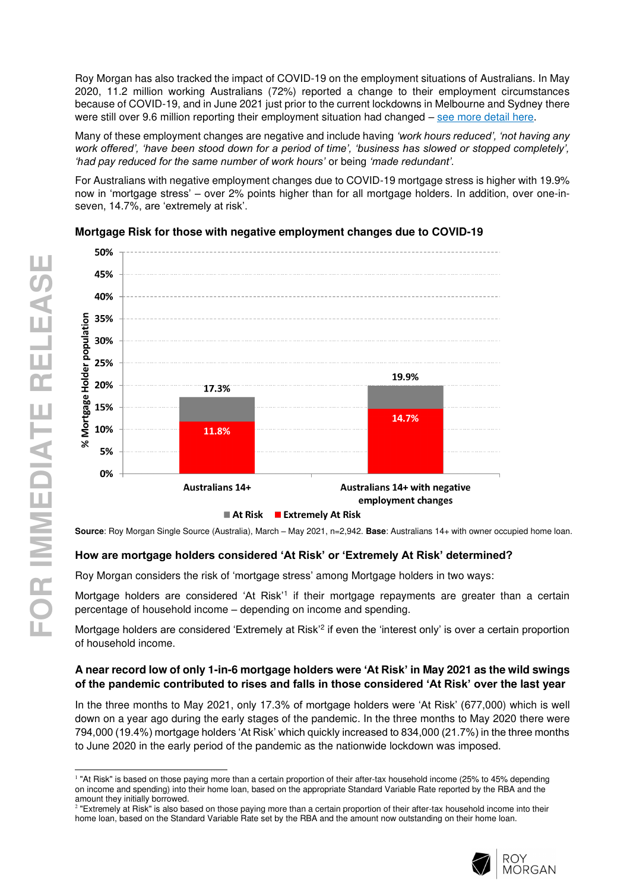Roy Morgan has also tracked the impact of COVID-19 on the employment situations of Australians. In May 2020, 11.2 million working Australians (72%) reported a change to their employment circumstances because of COVID-19, and in June 2021 just prior to the current lockdowns in Melbourne and Sydney there were still over 9.6 million reporting their employment situation had changed – [see more detail here.](http://www.roymorgan.com/findings/8557-roy-morgan-coronavirus-crisis-impact-on-employment-september-2020-202011020521)

Many of these employment changes are negative and include having *'work hours reduced', 'not having any work offered', 'have been stood down for a period of time', 'business has slowed or stopped completely', 'h*ad pay redu*ced for the same number of work hours'* or being *'made redundant'.*

For Australians with negative employment changes due to COVID-19 mortgage stress is higher with 19.9% now in 'mortgage stress' – over 2% points higher than for all mortgage holders. In addition, over one-inseven, 14.7%, are 'extremely at risk'.



# **Mortgage Risk for those with negative employment changes due to COVID-19**

**Source**: Roy Morgan Single Source (Australia), March – May 2021, n=2,942. **Base**: Australians 14+ with owner occupied home loan.

### **How are mortgage holders considered 'At Risk' or 'Extremely At Risk' determined?**

Roy Morgan considers the risk of 'mortgage stress' among Mortgage holders in two ways:

Mortgage holders are considered 'At Risk'<sup>1</sup> if their mortgage repayments are greater than a certain percentage of household income – depending on income and spending.

Mortgage holders are considered 'Extremely at Risk'<sup>2</sup> if even the 'interest only' is over a certain proportion of household income.

### **A near record low of only 1-in-6 mortgage holders were 'At Risk' in May 2021 as the wild swings of the pandemic contributed to rises and falls in those considered 'At Risk' over the last year**

In the three months to May 2021, only 17.3% of mortgage holders were 'At Risk' (677,000) which is well down on a year ago during the early stages of the pandemic. In the three months to May 2020 there were 794,000 (19.4%) mortgage holders 'At Risk' which quickly increased to 834,000 (21.7%) in the three months to June 2020 in the early period of the pandemic as the nationwide lockdown was imposed.



<sup>&</sup>lt;sup>1</sup> "At Risk" is based on those paying more than a certain proportion of their after-tax household income (25% to 45% depending on income and spending) into their home loan, based on the appropriate Standard Variable Rate reported by the RBA and the

amount they initially borrowed.<br><sup>2</sup> "Extremely at Risk" is also based on those paying more than a certain proportion of their after-tax household income into their home loan, based on the Standard Variable Rate set by the RBA and the amount now outstanding on their home loan.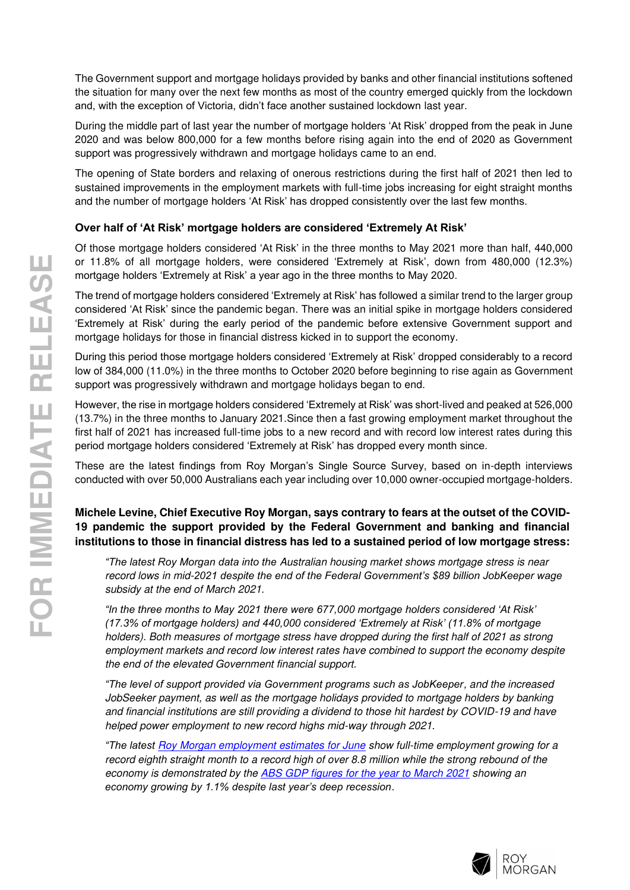The Government support and mortgage holidays provided by banks and other financial institutions softened the situation for many over the next few months as most of the country emerged quickly from the lockdown and, with the exception of Victoria, didn't face another sustained lockdown last year.

During the middle part of last year the number of mortgage holders 'At Risk' dropped from the peak in June 2020 and was below 800,000 for a few months before rising again into the end of 2020 as Government support was progressively withdrawn and mortgage holidays came to an end.

The opening of State borders and relaxing of onerous restrictions during the first half of 2021 then led to sustained improvements in the employment markets with full-time jobs increasing for eight straight months and the number of mortgage holders 'At Risk' has dropped consistently over the last few months.

### **Over half of 'At Risk' mortgage holders are considered 'Extremely At Risk'**

Of those mortgage holders considered 'At Risk' in the three months to May 2021 more than half, 440,000 or 11.8% of all mortgage holders, were considered 'Extremely at Risk', down from 480,000 (12.3%) mortgage holders 'Extremely at Risk' a year ago in the three months to May 2020.

The trend of mortgage holders considered 'Extremely at Risk' has followed a similar trend to the larger group considered 'At Risk' since the pandemic began. There was an initial spike in mortgage holders considered 'Extremely at Risk' during the early period of the pandemic before extensive Government support and mortgage holidays for those in financial distress kicked in to support the economy.

During this period those mortgage holders considered 'Extremely at Risk' dropped considerably to a record low of 384,000 (11.0%) in the three months to October 2020 before beginning to rise again as Government support was progressively withdrawn and mortgage holidays began to end.

However, the rise in mortgage holders considered 'Extremely at Risk' was short-lived and peaked at 526,000 (13.7%) in the three months to January 2021.Since then a fast growing employment market throughout the first half of 2021 has increased full-time jobs to a new record and with record low interest rates during this period mortgage holders considered 'Extremely at Risk' has dropped every month since.

These are the latest findings from Roy Morgan's Single Source Survey, based on in-depth interviews conducted with over 50,000 Australians each year including over 10,000 owner-occupied mortgage-holders.

## **Michele Levine, Chief Executive Roy Morgan, says contrary to fears at the outset of the COVID-19 pandemic the support provided by the Federal Government and banking and financial institutions to those in financial distress has led to a sustained period of low mortgage stress:**

*"The latest Roy Morgan data into the* Australian housing market shows mortgage stress is near record lows in mid-*2021 despite the end of the Federal Government's \$89 billion JobKeeper wage*  subsidy at the end of March 2021.

*"In the three months to May 2021 there were 677,000 mortgage holders considered 'At Risk' (17.3% of mortgage holders) and 440,000 considered 'Extremely at Risk' (11.8% of mortgage*  holders). Both measures of mortgage stress have dropped during the first half of 2021 as strong employment markets and record low interest rates have combined to support the economy despite the end of the elevated Government financial support.

*"The level of support provided via Government programs such as JobKeeper*, and the increased JobSeeker payment, as well as the mortgage holidays provided to mortgage holders by banking and financial institutions are still providing a dividend to those hit hardest by COVID-19 and have helped power employment to new record highs mid-way through 2021.

*"The latest* [Roy Morgan employment estimates for June](https://www.roymorgan.com/findings/8742-australian-unemployment-estimates-june-2021-202107041952) show full-time employment growing for a record eighth straight month to a record high of over 8.8 million while the strong rebound of the economy is demonstrated by the [ABS GDP figures for the year to March 2021](https://www.abs.gov.au/statistics/economy/national-accounts/australian-national-accounts-national-income-expenditure-and-product/latest-release) showing an *economy growing by 1.1% despite last year's deep recession*.